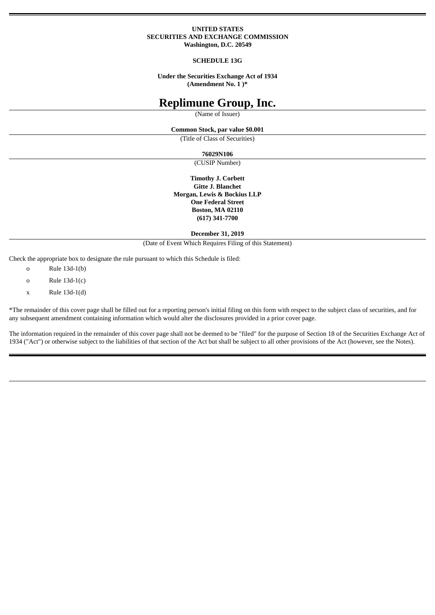### **UNITED STATES SECURITIES AND EXCHANGE COMMISSION Washington, D.C. 20549**

### **SCHEDULE 13G**

**Under the Securities Exchange Act of 1934 (Amendment No. 1 )\***

# **Replimune Group, Inc.**

(Name of Issuer)

### **Common Stock, par value \$0.001**

(Title of Class of Securities)

## **76029N106**

(CUSIP Number)

**Timothy J. Corbett Gitte J. Blanchet Morgan, Lewis & Bockius LLP One Federal Street Boston, MA 02110 (617) 341-7700**

### **December 31, 2019**

(Date of Event Which Requires Filing of this Statement)

Check the appropriate box to designate the rule pursuant to which this Schedule is filed:

o Rule 13d-1(b)

- o Rule 13d-1(c)
- x Rule 13d-1(d)

\*The remainder of this cover page shall be filled out for a reporting person's initial filing on this form with respect to the subject class of securities, and for any subsequent amendment containing information which would alter the disclosures provided in a prior cover page.

The information required in the remainder of this cover page shall not be deemed to be "filed" for the purpose of Section 18 of the Securities Exchange Act of 1934 ("Act") or otherwise subject to the liabilities of that section of the Act but shall be subject to all other provisions of the Act (however, see the Notes).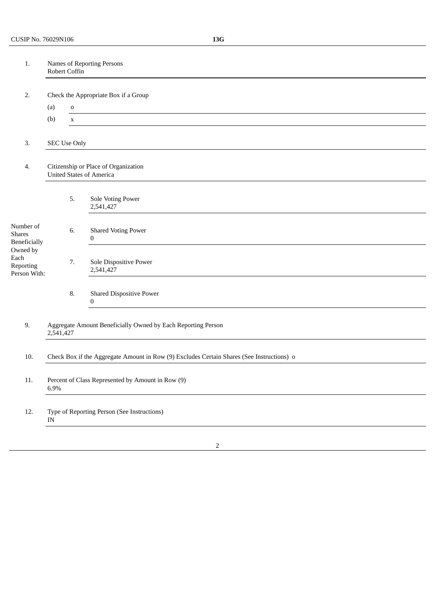| 1.                                            | Names of Reporting Persons<br>Robert Coffin                                               |                                                                         |                                             |  |  |
|-----------------------------------------------|-------------------------------------------------------------------------------------------|-------------------------------------------------------------------------|---------------------------------------------|--|--|
| 2.                                            |                                                                                           |                                                                         | Check the Appropriate Box if a Group        |  |  |
|                                               | (a)                                                                                       | ${\bf O}$                                                               |                                             |  |  |
|                                               | (b)                                                                                       | $\mathbf X$                                                             |                                             |  |  |
| 3.                                            |                                                                                           | <b>SEC Use Only</b>                                                     |                                             |  |  |
| 4.                                            |                                                                                           | Citizenship or Place of Organization<br><b>United States of America</b> |                                             |  |  |
|                                               |                                                                                           | 5.                                                                      | Sole Voting Power<br>2,541,427              |  |  |
| Number of<br><b>Shares</b><br>Beneficially    |                                                                                           | 6.                                                                      | <b>Shared Voting Power</b><br>$\bf{0}$      |  |  |
| Owned by<br>Each<br>Reporting<br>Person With: |                                                                                           | 7.                                                                      | Sole Dispositive Power<br>2,541,427         |  |  |
|                                               |                                                                                           | 8.                                                                      | <b>Shared Dispositive Power</b><br>$\bf{0}$ |  |  |
| 9.                                            | Aggregate Amount Beneficially Owned by Each Reporting Person<br>2,541,427                 |                                                                         |                                             |  |  |
| 10.                                           | Check Box if the Aggregate Amount in Row (9) Excludes Certain Shares (See Instructions) o |                                                                         |                                             |  |  |
| 11.                                           | Percent of Class Represented by Amount in Row (9)<br>6.9%                                 |                                                                         |                                             |  |  |
| 12.                                           | Type of Reporting Person (See Instructions)<br>IN                                         |                                                                         |                                             |  |  |
|                                               |                                                                                           |                                                                         |                                             |  |  |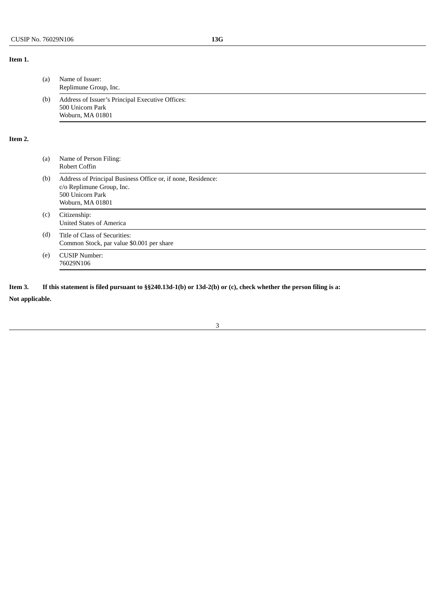# **Item 1.**

**Item 2.**

| (a) | Name of Issuer:<br>Replimune Group, Inc.                                                                                          |
|-----|-----------------------------------------------------------------------------------------------------------------------------------|
| (b) | Address of Issuer's Principal Executive Offices:<br>500 Unicorn Park<br>Woburn, MA 01801                                          |
|     |                                                                                                                                   |
| (a) | Name of Person Filing:<br>Robert Coffin                                                                                           |
| (b) | Address of Principal Business Office or, if none, Residence:<br>c/o Replimune Group, Inc.<br>500 Unicorn Park<br>Woburn, MA 01801 |
| (c) | Citizenship:<br><b>United States of America</b>                                                                                   |
| (d) | Title of Class of Securities:<br>Common Stock, par value \$0.001 per share                                                        |
| (e) | <b>CUSIP Number:</b><br>76029N106                                                                                                 |

3

Item 3. If this statement is filed pursuant to §§240.13d-1(b) or 13d-2(b) or (c), check whether the person filing is a:

**Not applicable.**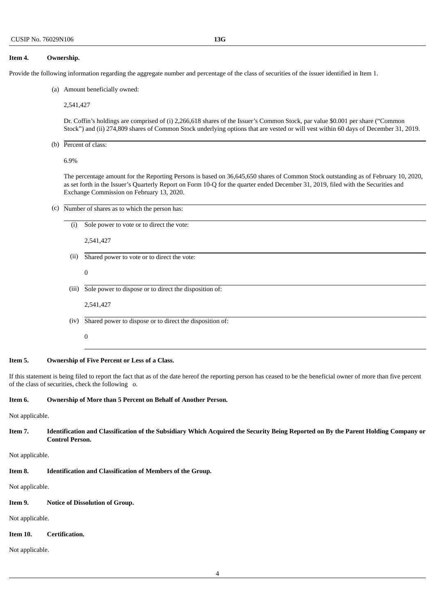### **Item 4. Ownership.**

Provide the following information regarding the aggregate number and percentage of the class of securities of the issuer identified in Item 1.

(a) Amount beneficially owned:

2,541,427

Dr. Coffin's holdings are comprised of (i) 2,266,618 shares of the Issuer's Common Stock, par value \$0.001 per share ("Common Stock") and (ii) 274,809 shares of Common Stock underlying options that are vested or will vest within 60 days of December 31, 2019.

(b) Percent of class:

6.9%

The percentage amount for the Reporting Persons is based on 36,645,650 shares of Common Stock outstanding as of February 10, 2020, as set forth in the Issuer's Quarterly Report on Form 10-Q for the quarter ended December 31, 2019, filed with the Securities and Exchange Commission on February 13, 2020.

(c) Number of shares as to which the person has:

| $\left( 1\right)$ | Sole power to vote or to direct the vote:                |
|-------------------|----------------------------------------------------------|
|                   | 2,541,427                                                |
| (ii)              | Shared power to vote or to direct the vote:              |
|                   | $\boldsymbol{0}$                                         |
| (iii)             | Sole power to dispose or to direct the disposition of:   |
|                   | 2,541,427                                                |
| (iv)              | Shared power to dispose or to direct the disposition of: |
|                   | $\boldsymbol{0}$                                         |
|                   |                                                          |

**Item 5. Ownership of Five Percent or Less of a Class.**

If this statement is being filed to report the fact that as of the date hereof the reporting person has ceased to be the beneficial owner of more than five percent of the class of securities, check the following o.

**Item 6. Ownership of More than 5 Percent on Behalf of Another Person.**

Not applicable.

Item 7. Identification and Classification of the Subsidiary Which Acquired the Security Being Reported on By the Parent Holding Company or **Control Person.**

Not applicable.

**Item 8. Identification and Classification of Members of the Group.**

Not applicable.

### **Item 9. Notice of Dissolution of Group.**

Not applicable.

## **Item 10. Certification.**

Not applicable.